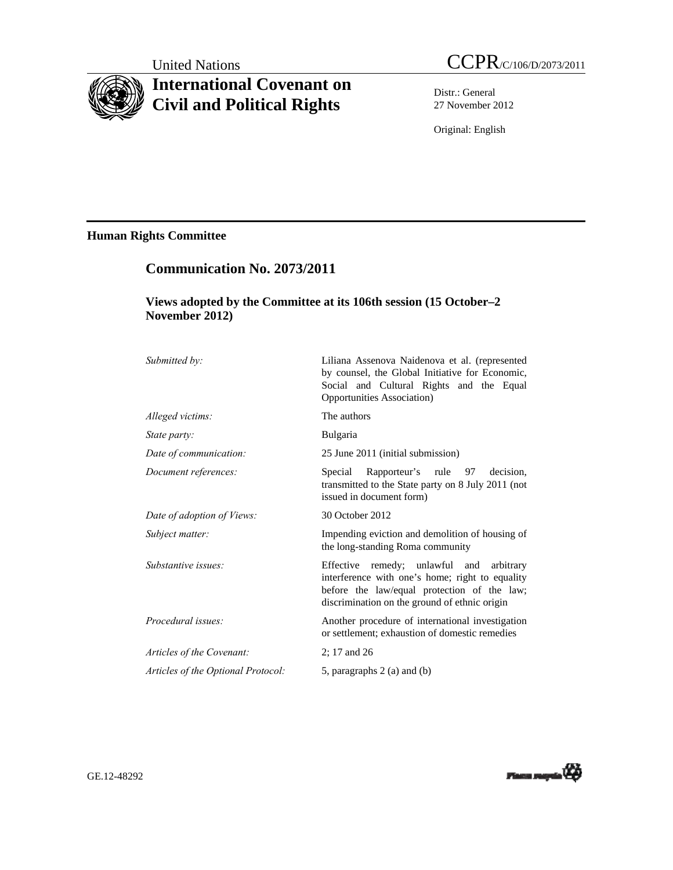# **International Covenant on Civil and Political Rights**

Distr.: General 27 November 2012

Original: English

## **Human Rights Committee**

## **Communication No. 2073/2011**

## **Views adopted by the Committee at its 106th session (15 October–2 November 2012)**

| Submitted by:                      | Liliana Assenova Naidenova et al. (represented<br>by counsel, the Global Initiative for Economic,<br>Social and Cultural Rights and the Equal<br>Opportunities Association)                 |
|------------------------------------|---------------------------------------------------------------------------------------------------------------------------------------------------------------------------------------------|
| Alleged victims:                   | The authors                                                                                                                                                                                 |
| State party:                       | Bulgaria                                                                                                                                                                                    |
| Date of communication:             | 25 June 2011 (initial submission)                                                                                                                                                           |
| Document references:               | Special<br>Rapporteur's rule 97<br>decision.<br>transmitted to the State party on 8 July 2011 (not<br>issued in document form)                                                              |
| Date of adoption of Views:         | 30 October 2012                                                                                                                                                                             |
| Subject matter:                    | Impending eviction and demolition of housing of<br>the long-standing Roma community                                                                                                         |
| Substantive issues:                | Effective remedy; unlawful and arbitrary<br>interference with one's home; right to equality<br>before the law/equal protection of the law;<br>discrimination on the ground of ethnic origin |
| Procedural issues:                 | Another procedure of international investigation<br>or settlement; exhaustion of domestic remedies                                                                                          |
| Articles of the Covenant:          | 2; 17 and 26                                                                                                                                                                                |
| Articles of the Optional Protocol: | 5, paragraphs $2$ (a) and (b)                                                                                                                                                               |

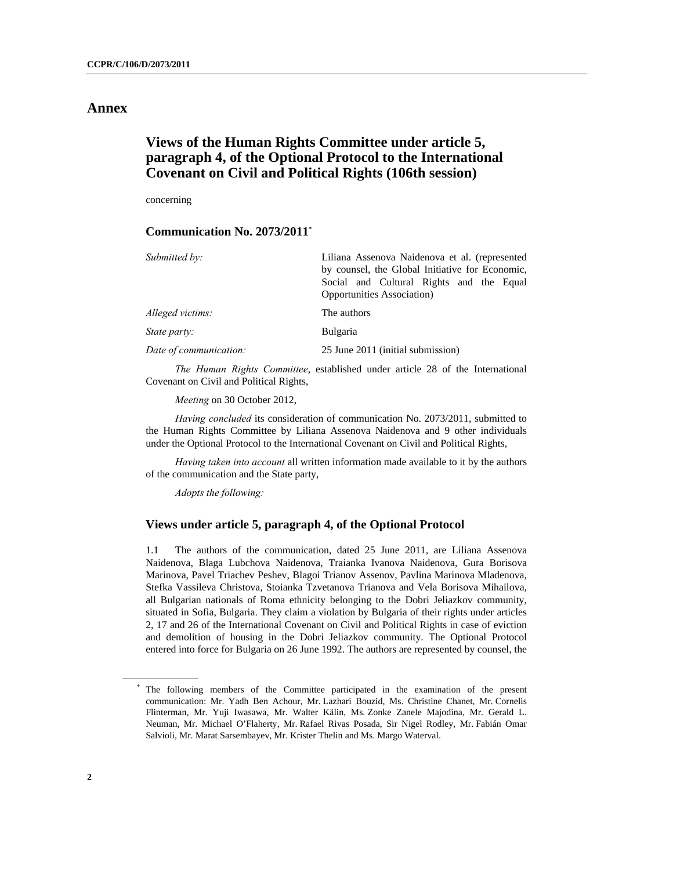### **Annex**

## **Views of the Human Rights Committee under article 5, paragraph 4, of the Optional Protocol to the International Covenant on Civil and Political Rights (106th session)**

concerning

#### **Communication No. 2073/2011\***

| Submitted by:          | Liliana Assenova Naidenova et al. (represented  |
|------------------------|-------------------------------------------------|
|                        | by counsel, the Global Initiative for Economic, |
|                        | Social and Cultural Rights and the Equal        |
|                        | <b>Opportunities Association</b> )              |
| Alleged victims:       | The authors                                     |
| <i>State party:</i>    | <b>Bulgaria</b>                                 |
| Date of communication: | 25 June 2011 (initial submission)               |

*The Human Rights Committee*, established under article 28 of the International Covenant on Civil and Political Rights,

*Meeting* on 30 October 2012,

*Having concluded* its consideration of communication No. 2073/2011, submitted to the Human Rights Committee by Liliana Assenova Naidenova and 9 other individuals under the Optional Protocol to the International Covenant on Civil and Political Rights,

*Having taken into account* all written information made available to it by the authors of the communication and the State party,

*Adopts the following:* 

#### **Views under article 5, paragraph 4, of the Optional Protocol**

1.1 The authors of the communication, dated 25 June 2011, are Liliana Assenova Naidenova, Blaga Lubchova Naidenova, Traianka Ivanova Naidenova, Gura Borisova Marinova, Pavel Triachev Peshev, Blagoi Trianov Assenov, Pavlina Marinova Mladenova, Stefka Vassileva Christova, Stoianka Tzvetanova Trianova and Vela Borisova Mihailova, all Bulgarian nationals of Roma ethnicity belonging to the Dobri Jeliazkov community, situated in Sofia, Bulgaria. They claim a violation by Bulgaria of their rights under articles 2, 17 and 26 of the International Covenant on Civil and Political Rights in case of eviction and demolition of housing in the Dobri Jeliazkov community. The Optional Protocol entered into force for Bulgaria on 26 June 1992. The authors are represented by counsel, the

<sup>\*</sup> The following members of the Committee participated in the examination of the present communication: Mr. Yadh Ben Achour, Mr. Lazhari Bouzid, Ms. Christine Chanet, Mr. Cornelis Flinterman, Mr. Yuji Iwasawa, Mr. Walter Kälin, Ms. Zonke Zanele Majodina, Mr. Gerald L. Neuman, Mr. Michael O'Flaherty, Mr. Rafael Rivas Posada, Sir Nigel Rodley, Mr. Fabián Omar Salvioli, Mr. Marat Sarsembayev, Mr. Krister Thelin and Ms. Margo Waterval.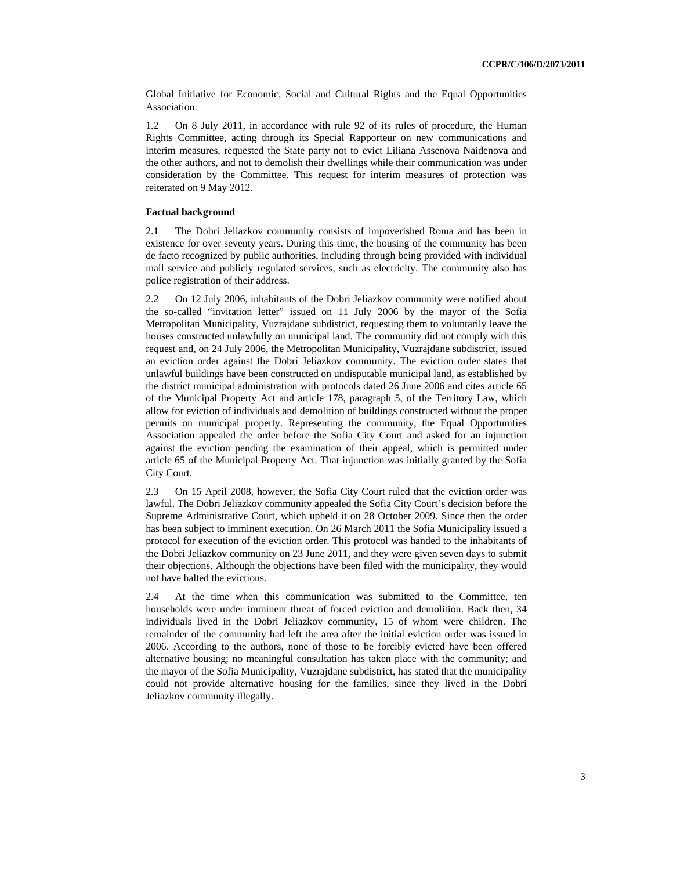Global Initiative for Economic, Social and Cultural Rights and the Equal Opportunities Association.

1.2 On 8 July 2011, in accordance with rule 92 of its rules of procedure, the Human Rights Committee, acting through its Special Rapporteur on new communications and interim measures, requested the State party not to evict Liliana Assenova Naidenova and the other authors, and not to demolish their dwellings while their communication was under consideration by the Committee. This request for interim measures of protection was reiterated on 9 May 2012.

#### **Factual background**

2.1 The Dobri Jeliazkov community consists of impoverished Roma and has been in existence for over seventy years. During this time, the housing of the community has been de facto recognized by public authorities, including through being provided with individual mail service and publicly regulated services, such as electricity. The community also has police registration of their address.

2.2 On 12 July 2006, inhabitants of the Dobri Jeliazkov community were notified about the so-called "invitation letter" issued on 11 July 2006 by the mayor of the Sofia Metropolitan Municipality, Vuzrajdane subdistrict, requesting them to voluntarily leave the houses constructed unlawfully on municipal land. The community did not comply with this request and, on 24 July 2006, the Metropolitan Municipality, Vuzrajdane subdistrict, issued an eviction order against the Dobri Jeliazkov community. The eviction order states that unlawful buildings have been constructed on undisputable municipal land, as established by the district municipal administration with protocols dated 26 June 2006 and cites article 65 of the Municipal Property Act and article 178, paragraph 5, of the Territory Law, which allow for eviction of individuals and demolition of buildings constructed without the proper permits on municipal property. Representing the community, the Equal Opportunities Association appealed the order before the Sofia City Court and asked for an injunction against the eviction pending the examination of their appeal, which is permitted under article 65 of the Municipal Property Act. That injunction was initially granted by the Sofia City Court.

2.3 On 15 April 2008, however, the Sofia City Court ruled that the eviction order was lawful. The Dobri Jeliazkov community appealed the Sofia City Court's decision before the Supreme Administrative Court, which upheld it on 28 October 2009. Since then the order has been subject to imminent execution. On 26 March 2011 the Sofia Municipality issued a protocol for execution of the eviction order. This protocol was handed to the inhabitants of the Dobri Jeliazkov community on 23 June 2011, and they were given seven days to submit their objections. Although the objections have been filed with the municipality, they would not have halted the evictions.

2.4 At the time when this communication was submitted to the Committee, ten households were under imminent threat of forced eviction and demolition. Back then, 34 individuals lived in the Dobri Jeliazkov community, 15 of whom were children. The remainder of the community had left the area after the initial eviction order was issued in 2006. According to the authors, none of those to be forcibly evicted have been offered alternative housing; no meaningful consultation has taken place with the community; and the mayor of the Sofia Municipality, Vuzrajdane subdistrict, has stated that the municipality could not provide alternative housing for the families, since they lived in the Dobri Jeliazkov community illegally.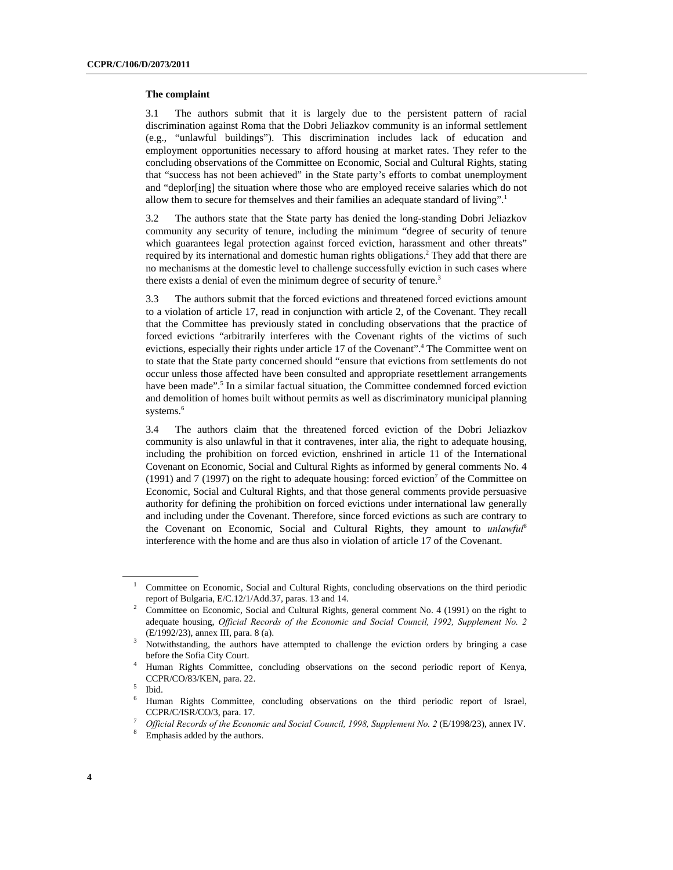#### **The complaint**

3.1 The authors submit that it is largely due to the persistent pattern of racial discrimination against Roma that the Dobri Jeliazkov community is an informal settlement (e.g., "unlawful buildings"). This discrimination includes lack of education and employment opportunities necessary to afford housing at market rates. They refer to the concluding observations of the Committee on Economic, Social and Cultural Rights, stating that "success has not been achieved" in the State party's efforts to combat unemployment and "deplor[ing] the situation where those who are employed receive salaries which do not allow them to secure for themselves and their families an adequate standard of living".<sup>1</sup>

3.2 The authors state that the State party has denied the long-standing Dobri Jeliazkov community any security of tenure, including the minimum "degree of security of tenure which guarantees legal protection against forced eviction, harassment and other threats" required by its international and domestic human rights obligations.<sup>2</sup> They add that there are no mechanisms at the domestic level to challenge successfully eviction in such cases where there exists a denial of even the minimum degree of security of tenure.<sup>3</sup>

3.3 The authors submit that the forced evictions and threatened forced evictions amount to a violation of article 17, read in conjunction with article 2, of the Covenant. They recall that the Committee has previously stated in concluding observations that the practice of forced evictions "arbitrarily interferes with the Covenant rights of the victims of such evictions, especially their rights under article 17 of the Covenant".<sup>4</sup> The Committee went on to state that the State party concerned should "ensure that evictions from settlements do not occur unless those affected have been consulted and appropriate resettlement arrangements have been made".<sup>5</sup> In a similar factual situation, the Committee condemned forced eviction and demolition of homes built without permits as well as discriminatory municipal planning systems.<sup>6</sup>

3.4 The authors claim that the threatened forced eviction of the Dobri Jeliazkov community is also unlawful in that it contravenes, inter alia, the right to adequate housing, including the prohibition on forced eviction, enshrined in article 11 of the International Covenant on Economic, Social and Cultural Rights as informed by general comments No. 4 (1991) and 7 (1997) on the right to adequate housing: forced eviction<sup>7</sup> of the Committee on Economic, Social and Cultural Rights, and that those general comments provide persuasive authority for defining the prohibition on forced evictions under international law generally and including under the Covenant. Therefore, since forced evictions as such are contrary to the Covenant on Economic, Social and Cultural Rights, they amount to *unlawful*<sup>8</sup> interference with the home and are thus also in violation of article 17 of the Covenant.

<sup>1</sup> Committee on Economic, Social and Cultural Rights, concluding observations on the third periodic report of Bulgaria, E/C.12/1/Add.37, paras. 13 and 14. 2

Committee on Economic, Social and Cultural Rights, general comment No. 4 (1991) on the right to adequate housing, *Official Records of the Economic and Social Council, 1992, Supplement No. 2*  (E/1992/23), annex III, para. 8 (a).

Notwithstanding, the authors have attempted to challenge the eviction orders by bringing a case before the Sofia City Court. 4

Human Rights Committee, concluding observations on the second periodic report of Kenya, CCPR/CO/83/KEN, para. 22.

Ibid.

<sup>6</sup> Human Rights Committee, concluding observations on the third periodic report of Israel, CCPR/C/ISR/CO/3, para. 17.

*Official Records of the Economic and Social Council, 1998, Supplement No. 2 (E/1998/23), annex IV.* 

Emphasis added by the authors.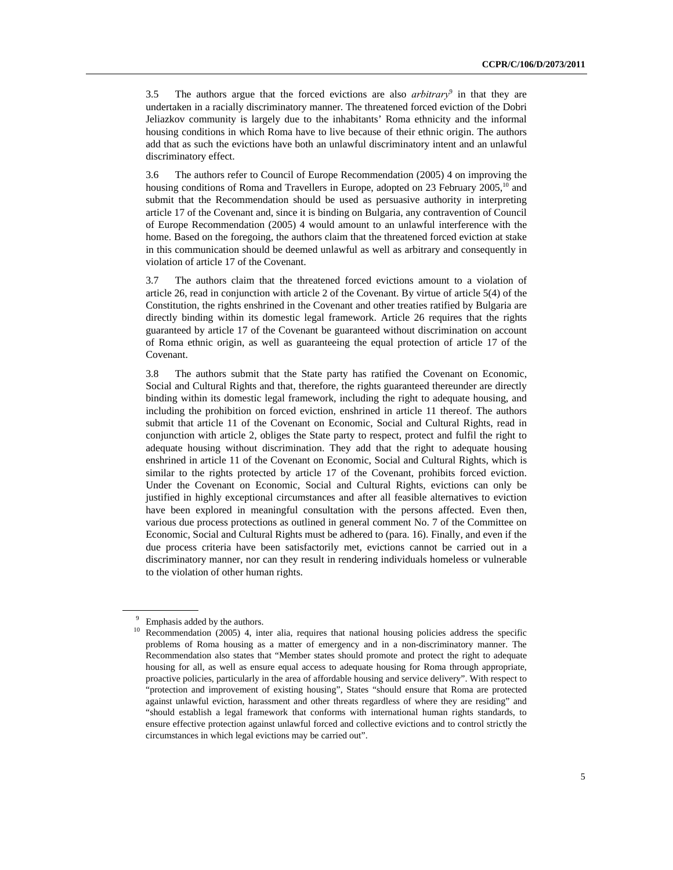3.5 The authors argue that the forced evictions are also *arbitrary*<sup>9</sup> in that they are undertaken in a racially discriminatory manner. The threatened forced eviction of the Dobri Jeliazkov community is largely due to the inhabitants' Roma ethnicity and the informal housing conditions in which Roma have to live because of their ethnic origin. The authors add that as such the evictions have both an unlawful discriminatory intent and an unlawful discriminatory effect.

3.6 The authors refer to Council of Europe Recommendation (2005) 4 on improving the housing conditions of Roma and Travellers in Europe, adopted on 23 February 2005,<sup>10</sup> and submit that the Recommendation should be used as persuasive authority in interpreting article 17 of the Covenant and, since it is binding on Bulgaria, any contravention of Council of Europe Recommendation (2005) 4 would amount to an unlawful interference with the home. Based on the foregoing, the authors claim that the threatened forced eviction at stake in this communication should be deemed unlawful as well as arbitrary and consequently in violation of article 17 of the Covenant.

3.7 The authors claim that the threatened forced evictions amount to a violation of article 26, read in conjunction with article 2 of the Covenant. By virtue of article 5(4) of the Constitution, the rights enshrined in the Covenant and other treaties ratified by Bulgaria are directly binding within its domestic legal framework. Article 26 requires that the rights guaranteed by article 17 of the Covenant be guaranteed without discrimination on account of Roma ethnic origin, as well as guaranteeing the equal protection of article 17 of the Covenant.

3.8 The authors submit that the State party has ratified the Covenant on Economic, Social and Cultural Rights and that, therefore, the rights guaranteed thereunder are directly binding within its domestic legal framework, including the right to adequate housing, and including the prohibition on forced eviction, enshrined in article 11 thereof. The authors submit that article 11 of the Covenant on Economic, Social and Cultural Rights, read in conjunction with article 2, obliges the State party to respect, protect and fulfil the right to adequate housing without discrimination. They add that the right to adequate housing enshrined in article 11 of the Covenant on Economic, Social and Cultural Rights, which is similar to the rights protected by article 17 of the Covenant, prohibits forced eviction. Under the Covenant on Economic, Social and Cultural Rights, evictions can only be justified in highly exceptional circumstances and after all feasible alternatives to eviction have been explored in meaningful consultation with the persons affected. Even then, various due process protections as outlined in general comment No. 7 of the Committee on Economic, Social and Cultural Rights must be adhered to (para. 16). Finally, and even if the due process criteria have been satisfactorily met, evictions cannot be carried out in a discriminatory manner, nor can they result in rendering individuals homeless or vulnerable to the violation of other human rights.

<sup>&</sup>lt;sup>9</sup> Emphasis added by the authors.

<sup>&</sup>lt;sup>10</sup> Recommendation (2005) 4, inter alia, requires that national housing policies address the specific problems of Roma housing as a matter of emergency and in a non-discriminatory manner. The Recommendation also states that "Member states should promote and protect the right to adequate housing for all, as well as ensure equal access to adequate housing for Roma through appropriate, proactive policies, particularly in the area of affordable housing and service delivery". With respect to "protection and improvement of existing housing", States "should ensure that Roma are protected against unlawful eviction, harassment and other threats regardless of where they are residing" and "should establish a legal framework that conforms with international human rights standards, to ensure effective protection against unlawful forced and collective evictions and to control strictly the circumstances in which legal evictions may be carried out".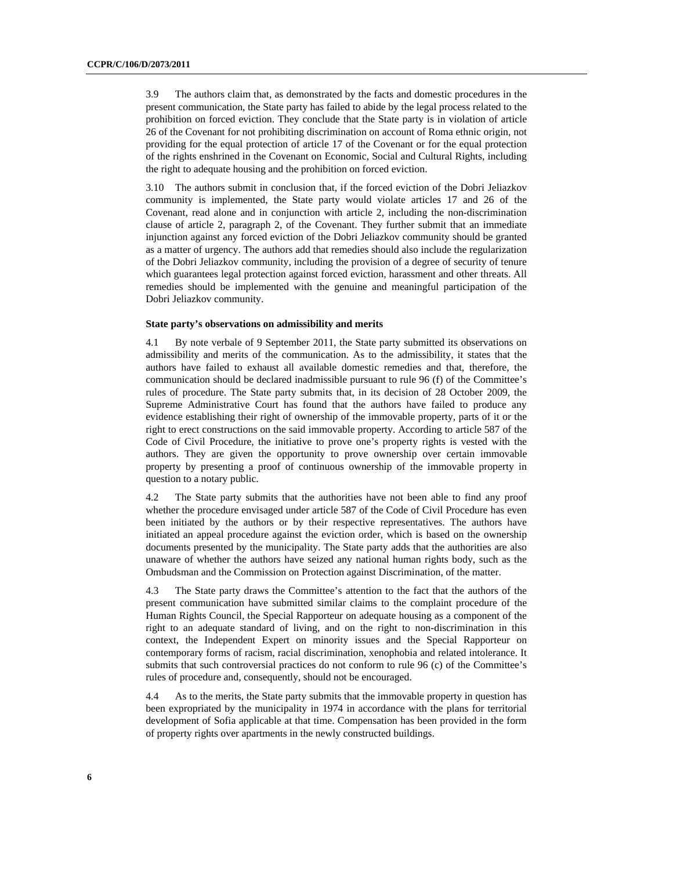3.9 The authors claim that, as demonstrated by the facts and domestic procedures in the present communication, the State party has failed to abide by the legal process related to the prohibition on forced eviction. They conclude that the State party is in violation of article 26 of the Covenant for not prohibiting discrimination on account of Roma ethnic origin, not providing for the equal protection of article 17 of the Covenant or for the equal protection of the rights enshrined in the Covenant on Economic, Social and Cultural Rights, including the right to adequate housing and the prohibition on forced eviction.

3.10 The authors submit in conclusion that, if the forced eviction of the Dobri Jeliazkov community is implemented, the State party would violate articles 17 and 26 of the Covenant, read alone and in conjunction with article 2, including the non-discrimination clause of article 2, paragraph 2, of the Covenant. They further submit that an immediate injunction against any forced eviction of the Dobri Jeliazkov community should be granted as a matter of urgency. The authors add that remedies should also include the regularization of the Dobri Jeliazkov community, including the provision of a degree of security of tenure which guarantees legal protection against forced eviction, harassment and other threats. All remedies should be implemented with the genuine and meaningful participation of the Dobri Jeliazkov community.

#### **State party's observations on admissibility and merits**

4.1 By note verbale of 9 September 2011, the State party submitted its observations on admissibility and merits of the communication. As to the admissibility, it states that the authors have failed to exhaust all available domestic remedies and that, therefore, the communication should be declared inadmissible pursuant to rule 96 (f) of the Committee's rules of procedure. The State party submits that, in its decision of 28 October 2009, the Supreme Administrative Court has found that the authors have failed to produce any evidence establishing their right of ownership of the immovable property, parts of it or the right to erect constructions on the said immovable property. According to article 587 of the Code of Civil Procedure, the initiative to prove one's property rights is vested with the authors. They are given the opportunity to prove ownership over certain immovable property by presenting a proof of continuous ownership of the immovable property in question to a notary public.

4.2 The State party submits that the authorities have not been able to find any proof whether the procedure envisaged under article 587 of the Code of Civil Procedure has even been initiated by the authors or by their respective representatives. The authors have initiated an appeal procedure against the eviction order, which is based on the ownership documents presented by the municipality. The State party adds that the authorities are also unaware of whether the authors have seized any national human rights body, such as the Ombudsman and the Commission on Protection against Discrimination, of the matter.

4.3 The State party draws the Committee's attention to the fact that the authors of the present communication have submitted similar claims to the complaint procedure of the Human Rights Council, the Special Rapporteur on adequate housing as a component of the right to an adequate standard of living, and on the right to non-discrimination in this context, the Independent Expert on minority issues and the Special Rapporteur on contemporary forms of racism, racial discrimination, xenophobia and related intolerance. It submits that such controversial practices do not conform to rule 96 (c) of the Committee's rules of procedure and, consequently, should not be encouraged.

4.4 As to the merits, the State party submits that the immovable property in question has been expropriated by the municipality in 1974 in accordance with the plans for territorial development of Sofia applicable at that time. Compensation has been provided in the form of property rights over apartments in the newly constructed buildings.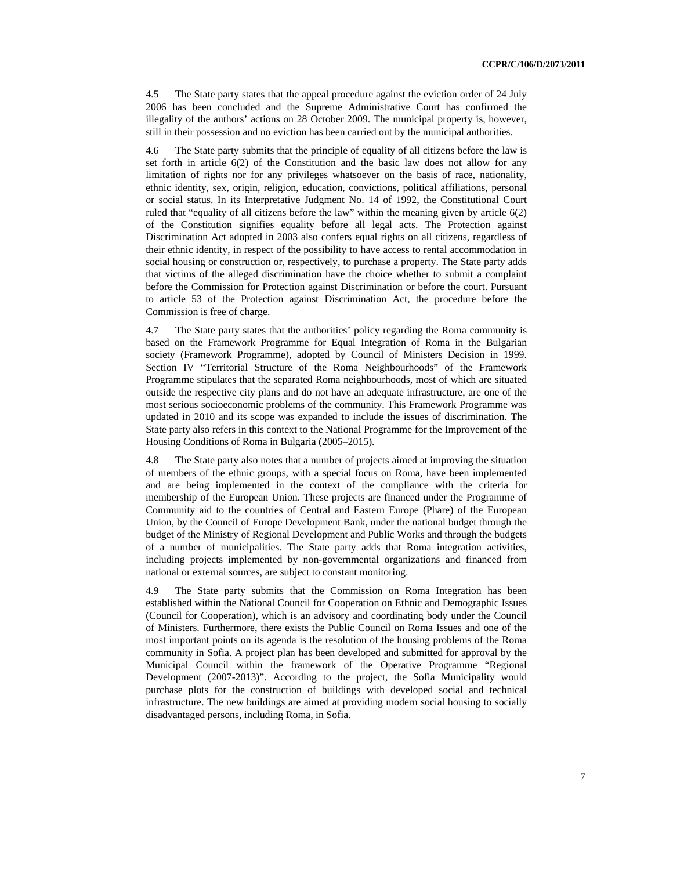4.5 The State party states that the appeal procedure against the eviction order of 24 July 2006 has been concluded and the Supreme Administrative Court has confirmed the illegality of the authors' actions on 28 October 2009. The municipal property is, however, still in their possession and no eviction has been carried out by the municipal authorities.

4.6 The State party submits that the principle of equality of all citizens before the law is set forth in article 6(2) of the Constitution and the basic law does not allow for any limitation of rights nor for any privileges whatsoever on the basis of race, nationality, ethnic identity, sex, origin, religion, education, convictions, political affiliations, personal or social status. In its Interpretative Judgment No. 14 of 1992, the Constitutional Court ruled that "equality of all citizens before the law" within the meaning given by article 6(2) of the Constitution signifies equality before all legal acts. The Protection against Discrimination Act adopted in 2003 also confers equal rights on all citizens, regardless of their ethnic identity, in respect of the possibility to have access to rental accommodation in social housing or construction or, respectively, to purchase a property. The State party adds that victims of the alleged discrimination have the choice whether to submit a complaint before the Commission for Protection against Discrimination or before the court. Pursuant to article 53 of the Protection against Discrimination Act, the procedure before the Commission is free of charge.

4.7 The State party states that the authorities' policy regarding the Roma community is based on the Framework Programme for Equal Integration of Roma in the Bulgarian society (Framework Programme), adopted by Council of Ministers Decision in 1999. Section IV "Territorial Structure of the Roma Neighbourhoods" of the Framework Programme stipulates that the separated Roma neighbourhoods, most of which are situated outside the respective city plans and do not have an adequate infrastructure, are one of the most serious socioeconomic problems of the community. This Framework Programme was updated in 2010 and its scope was expanded to include the issues of discrimination. The State party also refers in this context to the National Programme for the Improvement of the Housing Conditions of Roma in Bulgaria (2005–2015).

4.8 The State party also notes that a number of projects aimed at improving the situation of members of the ethnic groups, with a special focus on Roma, have been implemented and are being implemented in the context of the compliance with the criteria for membership of the European Union. These projects are financed under the Programme of Community aid to the countries of Central and Eastern Europe (Phare) of the European Union, by the Council of Europe Development Bank, under the national budget through the budget of the Ministry of Regional Development and Public Works and through the budgets of a number of municipalities. The State party adds that Roma integration activities, including projects implemented by non-governmental organizations and financed from national or external sources, are subject to constant monitoring.

4.9 The State party submits that the Commission on Roma Integration has been established within the National Council for Cooperation on Ethnic and Demographic Issues (Council for Cooperation), which is an advisory and coordinating body under the Council of Ministers. Furthermore, there exists the Public Council on Roma Issues and one of the most important points on its agenda is the resolution of the housing problems of the Roma community in Sofia. A project plan has been developed and submitted for approval by the Municipal Council within the framework of the Operative Programme "Regional Development (2007-2013)". According to the project, the Sofia Municipality would purchase plots for the construction of buildings with developed social and technical infrastructure. The new buildings are aimed at providing modern social housing to socially disadvantaged persons, including Roma, in Sofia.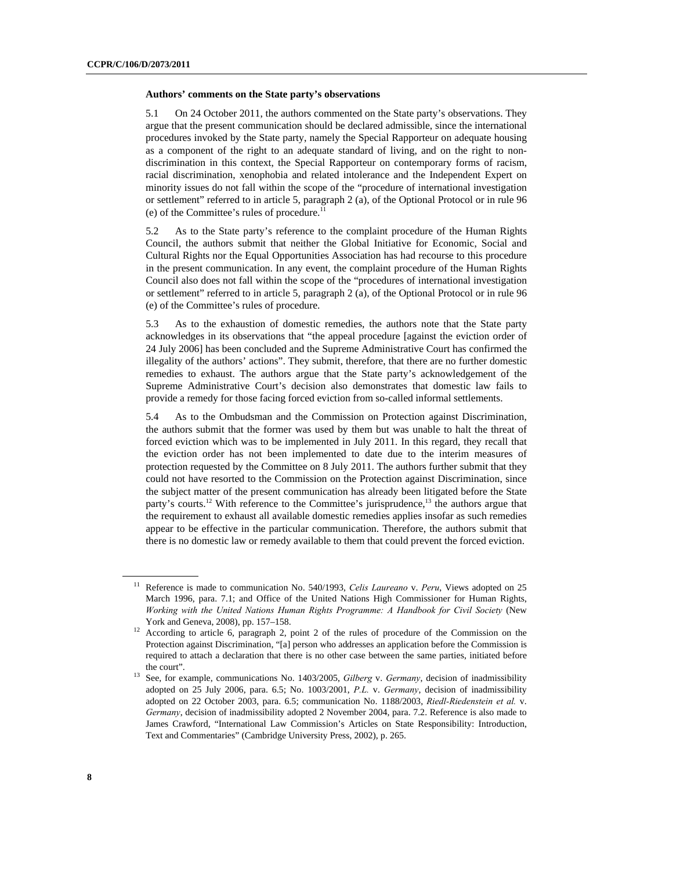#### **Authors' comments on the State party's observations**

5.1 On 24 October 2011, the authors commented on the State party's observations. They argue that the present communication should be declared admissible, since the international procedures invoked by the State party, namely the Special Rapporteur on adequate housing as a component of the right to an adequate standard of living, and on the right to nondiscrimination in this context, the Special Rapporteur on contemporary forms of racism, racial discrimination, xenophobia and related intolerance and the Independent Expert on minority issues do not fall within the scope of the "procedure of international investigation or settlement" referred to in article 5, paragraph 2 (a), of the Optional Protocol or in rule 96 (e) of the Committee's rules of procedure.11

5.2 As to the State party's reference to the complaint procedure of the Human Rights Council, the authors submit that neither the Global Initiative for Economic, Social and Cultural Rights nor the Equal Opportunities Association has had recourse to this procedure in the present communication. In any event, the complaint procedure of the Human Rights Council also does not fall within the scope of the "procedures of international investigation or settlement" referred to in article 5, paragraph 2 (a), of the Optional Protocol or in rule 96 (e) of the Committee's rules of procedure.

5.3 As to the exhaustion of domestic remedies, the authors note that the State party acknowledges in its observations that "the appeal procedure [against the eviction order of 24 July 2006] has been concluded and the Supreme Administrative Court has confirmed the illegality of the authors' actions". They submit, therefore, that there are no further domestic remedies to exhaust. The authors argue that the State party's acknowledgement of the Supreme Administrative Court's decision also demonstrates that domestic law fails to provide a remedy for those facing forced eviction from so-called informal settlements.

5.4 As to the Ombudsman and the Commission on Protection against Discrimination, the authors submit that the former was used by them but was unable to halt the threat of forced eviction which was to be implemented in July 2011. In this regard, they recall that the eviction order has not been implemented to date due to the interim measures of protection requested by the Committee on 8 July 2011. The authors further submit that they could not have resorted to the Commission on the Protection against Discrimination, since the subject matter of the present communication has already been litigated before the State party's courts.<sup>12</sup> With reference to the Committee's jurisprudence,<sup>13</sup> the authors argue that the requirement to exhaust all available domestic remedies applies insofar as such remedies appear to be effective in the particular communication. Therefore, the authors submit that there is no domestic law or remedy available to them that could prevent the forced eviction.

<sup>11</sup> Reference is made to communication No. 540/1993, *Celis Laureano* v. *Peru*, Views adopted on 25 March 1996, para. 7.1; and Office of the United Nations High Commissioner for Human Rights, *Working with the United Nations Human Rights Programme: A Handbook for Civil Society* (New

York and Geneva, 2008), pp. 157–158.<br><sup>12</sup> According to article 6, paragraph 2, point 2 of the rules of procedure of the Commission on the Protection against Discrimination, "[a] person who addresses an application before the Commission is required to attach a declaration that there is no other case between the same parties, initiated before the court". 13 See, for example, communications No. 1403/2005, *Gilberg* v. *Germany*, decision of inadmissibility

adopted on 25 July 2006, para. 6.5; No. 1003/2001, *P.L.* v. *Germany*, decision of inadmissibility adopted on 22 October 2003, para. 6.5; communication No. 1188/2003, *Riedl-Riedenstein et al.* v. *Germany*, decision of inadmissibility adopted 2 November 2004, para. 7.2. Reference is also made to James Crawford, "International Law Commission's Articles on State Responsibility: Introduction, Text and Commentaries" (Cambridge University Press, 2002), p. 265.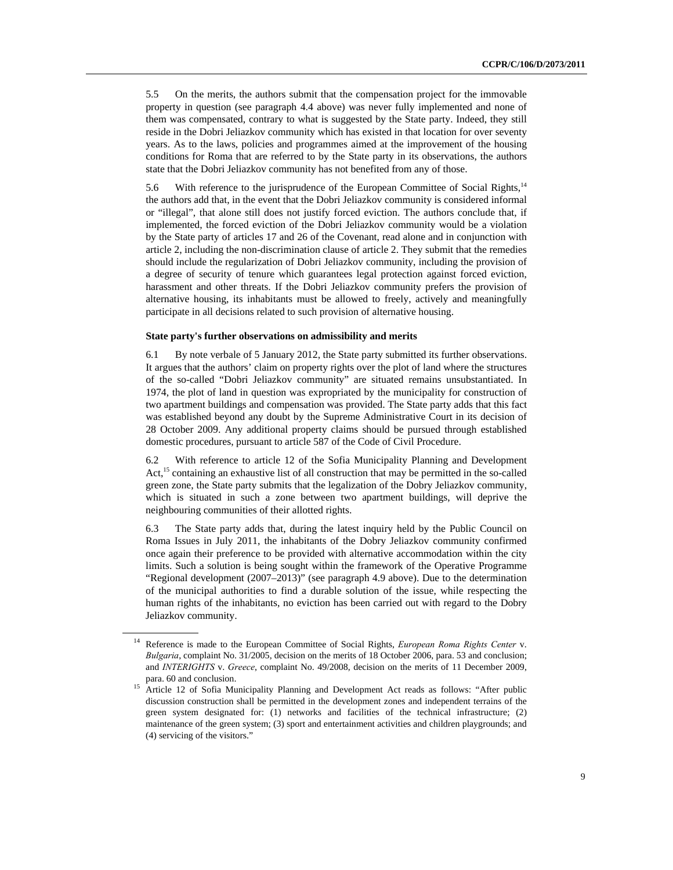5.5 On the merits, the authors submit that the compensation project for the immovable property in question (see paragraph 4.4 above) was never fully implemented and none of them was compensated, contrary to what is suggested by the State party. Indeed, they still reside in the Dobri Jeliazkov community which has existed in that location for over seventy years. As to the laws, policies and programmes aimed at the improvement of the housing conditions for Roma that are referred to by the State party in its observations, the authors state that the Dobri Jeliazkov community has not benefited from any of those.

5.6 With reference to the jurisprudence of the European Committee of Social Rights,<sup>14</sup> the authors add that, in the event that the Dobri Jeliazkov community is considered informal or "illegal", that alone still does not justify forced eviction. The authors conclude that, if implemented, the forced eviction of the Dobri Jeliazkov community would be a violation by the State party of articles 17 and 26 of the Covenant, read alone and in conjunction with article 2, including the non-discrimination clause of article 2. They submit that the remedies should include the regularization of Dobri Jeliazkov community, including the provision of a degree of security of tenure which guarantees legal protection against forced eviction, harassment and other threats. If the Dobri Jeliazkov community prefers the provision of alternative housing, its inhabitants must be allowed to freely, actively and meaningfully participate in all decisions related to such provision of alternative housing.

#### **State party's further observations on admissibility and merits**

6.1 By note verbale of 5 January 2012, the State party submitted its further observations. It argues that the authors' claim on property rights over the plot of land where the structures of the so-called "Dobri Jeliazkov community" are situated remains unsubstantiated. In 1974, the plot of land in question was expropriated by the municipality for construction of two apartment buildings and compensation was provided. The State party adds that this fact was established beyond any doubt by the Supreme Administrative Court in its decision of 28 October 2009. Any additional property claims should be pursued through established domestic procedures, pursuant to article 587 of the Code of Civil Procedure.

6.2 With reference to article 12 of the Sofia Municipality Planning and Development Act,<sup>15</sup> containing an exhaustive list of all construction that may be permitted in the so-called green zone, the State party submits that the legalization of the Dobry Jeliazkov community, which is situated in such a zone between two apartment buildings, will deprive the neighbouring communities of their allotted rights.

6.3 The State party adds that, during the latest inquiry held by the Public Council on Roma Issues in July 2011, the inhabitants of the Dobry Jeliazkov community confirmed once again their preference to be provided with alternative accommodation within the city limits. Such a solution is being sought within the framework of the Operative Programme "Regional development (2007–2013)" (see paragraph 4.9 above). Due to the determination of the municipal authorities to find a durable solution of the issue, while respecting the human rights of the inhabitants, no eviction has been carried out with regard to the Dobry Jeliazkov community.

<sup>14</sup> Reference is made to the European Committee of Social Rights, *European Roma Rights Center* v. *Bulgaria*, complaint No. 31/2005, decision on the merits of 18 October 2006, para. 53 and conclusion; and *INTERIGHTS* v. *Greece*, complaint No. 49/2008, decision on the merits of 11 December 2009,

para. 60 and conclusion. 15 Article 12 of Sofia Municipality Planning and Development Act reads as follows: "After public discussion construction shall be permitted in the development zones and independent terrains of the green system designated for: (1) networks and facilities of the technical infrastructure; (2) maintenance of the green system; (3) sport and entertainment activities and children playgrounds; and (4) servicing of the visitors."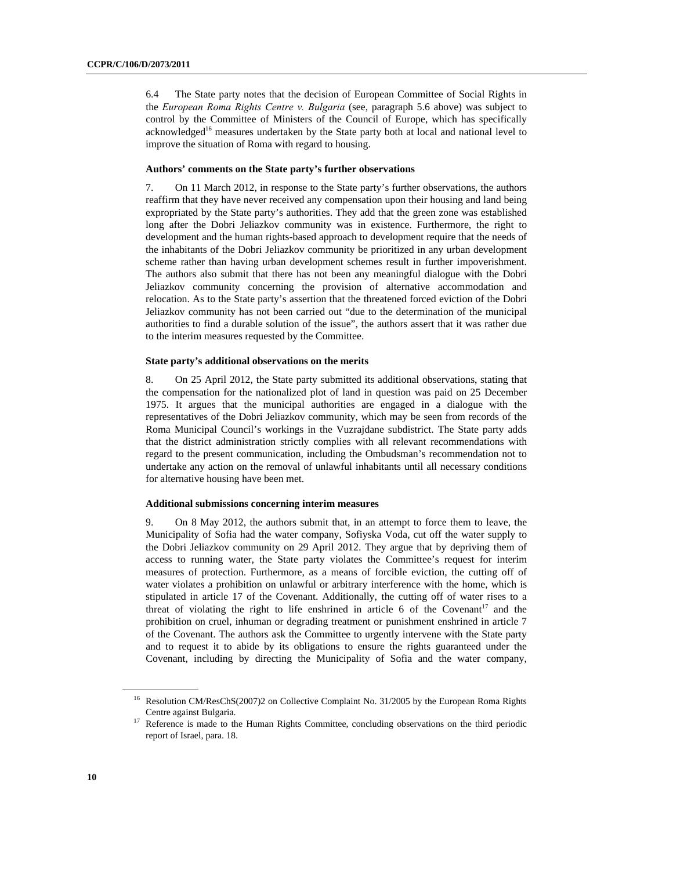6.4 The State party notes that the decision of European Committee of Social Rights in the *European Roma Rights Centre v. Bulgaria* (see, paragraph 5.6 above) was subject to control by the Committee of Ministers of the Council of Europe, which has specifically acknowledged<sup>16</sup> measures undertaken by the State party both at local and national level to improve the situation of Roma with regard to housing.

#### **Authors' comments on the State party's further observations**

7. On 11 March 2012, in response to the State party's further observations, the authors reaffirm that they have never received any compensation upon their housing and land being expropriated by the State party's authorities. They add that the green zone was established long after the Dobri Jeliazkov community was in existence. Furthermore, the right to development and the human rights-based approach to development require that the needs of the inhabitants of the Dobri Jeliazkov community be prioritized in any urban development scheme rather than having urban development schemes result in further impoverishment. The authors also submit that there has not been any meaningful dialogue with the Dobri Jeliazkov community concerning the provision of alternative accommodation and relocation. As to the State party's assertion that the threatened forced eviction of the Dobri Jeliazkov community has not been carried out "due to the determination of the municipal authorities to find a durable solution of the issue", the authors assert that it was rather due to the interim measures requested by the Committee.

#### **State party's additional observations on the merits**

8. On 25 April 2012, the State party submitted its additional observations, stating that the compensation for the nationalized plot of land in question was paid on 25 December 1975. It argues that the municipal authorities are engaged in a dialogue with the representatives of the Dobri Jeliazkov community, which may be seen from records of the Roma Municipal Council's workings in the Vuzrajdane subdistrict. The State party adds that the district administration strictly complies with all relevant recommendations with regard to the present communication, including the Ombudsman's recommendation not to undertake any action on the removal of unlawful inhabitants until all necessary conditions for alternative housing have been met.

#### **Additional submissions concerning interim measures**

9. On 8 May 2012, the authors submit that, in an attempt to force them to leave, the Municipality of Sofia had the water company, Sofiyska Voda, cut off the water supply to the Dobri Jeliazkov community on 29 April 2012. They argue that by depriving them of access to running water, the State party violates the Committee's request for interim measures of protection. Furthermore, as a means of forcible eviction, the cutting off of water violates a prohibition on unlawful or arbitrary interference with the home, which is stipulated in article 17 of the Covenant. Additionally, the cutting off of water rises to a threat of violating the right to life enshrined in article  $6$  of the Covenant<sup>17</sup> and the prohibition on cruel, inhuman or degrading treatment or punishment enshrined in article 7 of the Covenant. The authors ask the Committee to urgently intervene with the State party and to request it to abide by its obligations to ensure the rights guaranteed under the Covenant, including by directing the Municipality of Sofia and the water company,

<sup>&</sup>lt;sup>16</sup> Resolution CM/ResChS(2007)2 on Collective Complaint No. 31/2005 by the European Roma Rights

Centre against Bulgaria. 17 Reference is made to the Human Rights Committee, concluding observations on the third periodic report of Israel, para. 18.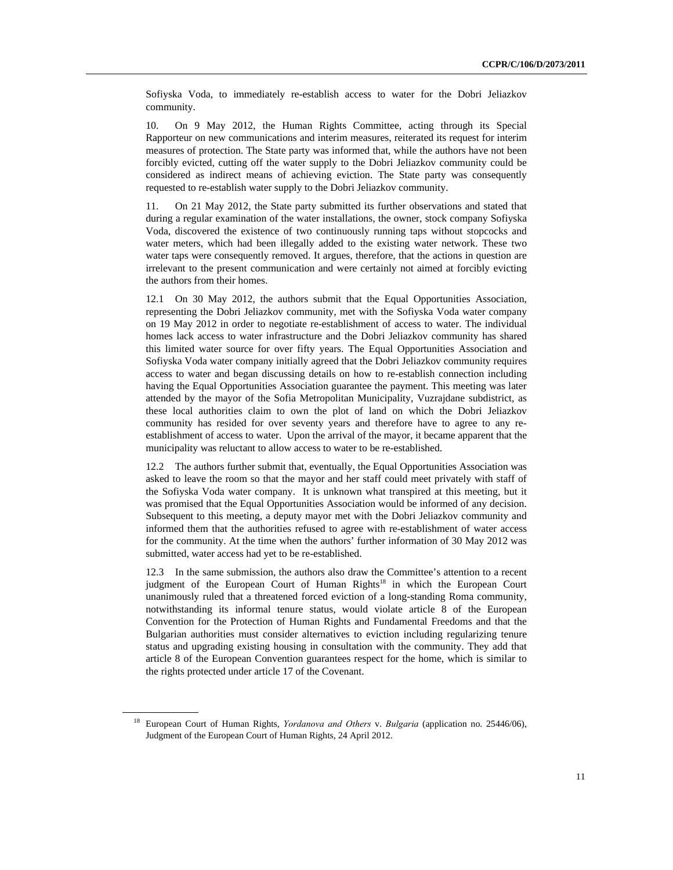Sofiyska Voda, to immediately re-establish access to water for the Dobri Jeliazkov community.

10. On 9 May 2012, the Human Rights Committee, acting through its Special Rapporteur on new communications and interim measures, reiterated its request for interim measures of protection. The State party was informed that, while the authors have not been forcibly evicted, cutting off the water supply to the Dobri Jeliazkov community could be considered as indirect means of achieving eviction. The State party was consequently requested to re-establish water supply to the Dobri Jeliazkov community.

11. On 21 May 2012, the State party submitted its further observations and stated that during a regular examination of the water installations, the owner, stock company Sofiyska Voda, discovered the existence of two continuously running taps without stopcocks and water meters, which had been illegally added to the existing water network. These two water taps were consequently removed. It argues, therefore, that the actions in question are irrelevant to the present communication and were certainly not aimed at forcibly evicting the authors from their homes.

12.1 On 30 May 2012, the authors submit that the Equal Opportunities Association, representing the Dobri Jeliazkov community, met with the Sofiyska Voda water company on 19 May 2012 in order to negotiate re-establishment of access to water. The individual homes lack access to water infrastructure and the Dobri Jeliazkov community has shared this limited water source for over fifty years. The Equal Opportunities Association and Sofiyska Voda water company initially agreed that the Dobri Jeliazkov community requires access to water and began discussing details on how to re-establish connection including having the Equal Opportunities Association guarantee the payment. This meeting was later attended by the mayor of the Sofia Metropolitan Municipality, Vuzrajdane subdistrict, as these local authorities claim to own the plot of land on which the Dobri Jeliazkov community has resided for over seventy years and therefore have to agree to any reestablishment of access to water. Upon the arrival of the mayor, it became apparent that the municipality was reluctant to allow access to water to be re-established.

12.2 The authors further submit that, eventually, the Equal Opportunities Association was asked to leave the room so that the mayor and her staff could meet privately with staff of the Sofiyska Voda water company. It is unknown what transpired at this meeting, but it was promised that the Equal Opportunities Association would be informed of any decision. Subsequent to this meeting, a deputy mayor met with the Dobri Jeliazkov community and informed them that the authorities refused to agree with re-establishment of water access for the community. At the time when the authors' further information of 30 May 2012 was submitted, water access had yet to be re-established.

12.3 In the same submission, the authors also draw the Committee's attention to a recent judgment of the European Court of Human Rights<sup>18</sup> in which the European Court unanimously ruled that a threatened forced eviction of a long-standing Roma community, notwithstanding its informal tenure status, would violate article 8 of the European Convention for the Protection of Human Rights and Fundamental Freedoms and that the Bulgarian authorities must consider alternatives to eviction including regularizing tenure status and upgrading existing housing in consultation with the community. They add that article 8 of the European Convention guarantees respect for the home, which is similar to the rights protected under article 17 of the Covenant.

<sup>18</sup> European Court of Human Rights, *Yordanova and Others* v. *Bulgaria* (application no. 25446/06), Judgment of the European Court of Human Rights, 24 April 2012.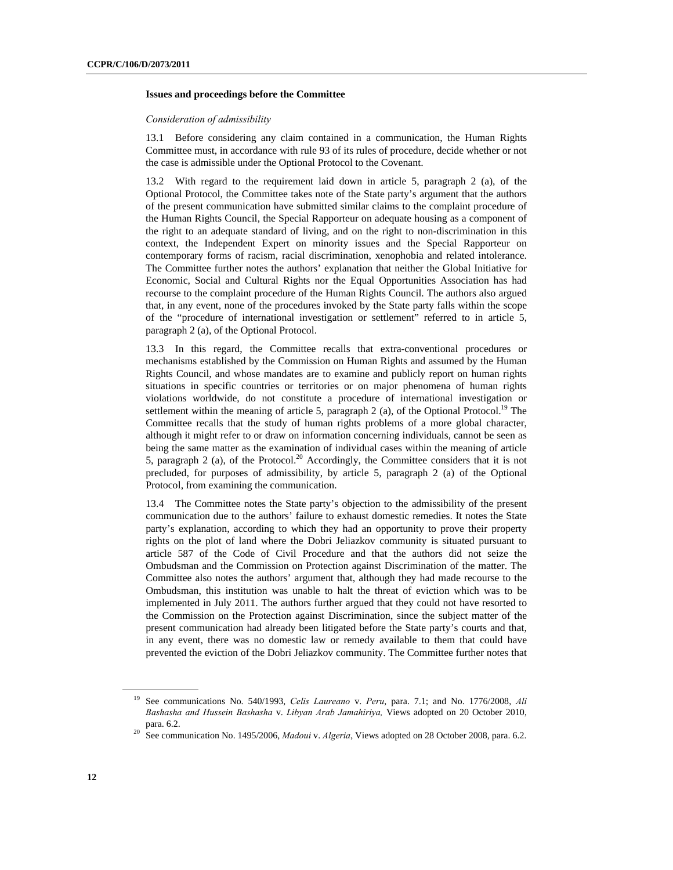#### **Issues and proceedings before the Committee**

#### *Consideration of admissibility*

13.1 Before considering any claim contained in a communication, the Human Rights Committee must, in accordance with rule 93 of its rules of procedure, decide whether or not the case is admissible under the Optional Protocol to the Covenant.

13.2 With regard to the requirement laid down in article 5, paragraph 2 (a), of the Optional Protocol, the Committee takes note of the State party's argument that the authors of the present communication have submitted similar claims to the complaint procedure of the Human Rights Council, the Special Rapporteur on adequate housing as a component of the right to an adequate standard of living, and on the right to non-discrimination in this context, the Independent Expert on minority issues and the Special Rapporteur on contemporary forms of racism, racial discrimination, xenophobia and related intolerance. The Committee further notes the authors' explanation that neither the Global Initiative for Economic, Social and Cultural Rights nor the Equal Opportunities Association has had recourse to the complaint procedure of the Human Rights Council. The authors also argued that, in any event, none of the procedures invoked by the State party falls within the scope of the "procedure of international investigation or settlement" referred to in article 5, paragraph 2 (a), of the Optional Protocol.

13.3 In this regard, the Committee recalls that extra-conventional procedures or mechanisms established by the Commission on Human Rights and assumed by the Human Rights Council, and whose mandates are to examine and publicly report on human rights situations in specific countries or territories or on major phenomena of human rights violations worldwide, do not constitute a procedure of international investigation or settlement within the meaning of article 5, paragraph 2 (a), of the Optional Protocol.<sup>19</sup> The Committee recalls that the study of human rights problems of a more global character, although it might refer to or draw on information concerning individuals, cannot be seen as being the same matter as the examination of individual cases within the meaning of article 5, paragraph 2 (a), of the Protocol.<sup>20</sup> Accordingly, the Committee considers that it is not precluded, for purposes of admissibility, by article 5, paragraph 2 (a) of the Optional Protocol, from examining the communication.

13.4 The Committee notes the State party's objection to the admissibility of the present communication due to the authors' failure to exhaust domestic remedies. It notes the State party's explanation, according to which they had an opportunity to prove their property rights on the plot of land where the Dobri Jeliazkov community is situated pursuant to article 587 of the Code of Civil Procedure and that the authors did not seize the Ombudsman and the Commission on Protection against Discrimination of the matter. The Committee also notes the authors' argument that, although they had made recourse to the Ombudsman, this institution was unable to halt the threat of eviction which was to be implemented in July 2011. The authors further argued that they could not have resorted to the Commission on the Protection against Discrimination, since the subject matter of the present communication had already been litigated before the State party's courts and that, in any event, there was no domestic law or remedy available to them that could have prevented the eviction of the Dobri Jeliazkov community. The Committee further notes that

<sup>19</sup> See communications No. 540/1993, *Celis Laureano* v. *Peru*, para. 7.1; and No. 1776/2008, *Ali Bashasha and Hussein Bashasha* v. *Libyan Arab Jamahiriya,* Views adopted on 20 October 2010, para. 6.2. 20 See communication No. 1495/2006, *Madoui* v. *Algeria*, Views adopted on 28 October 2008, para. 6.2.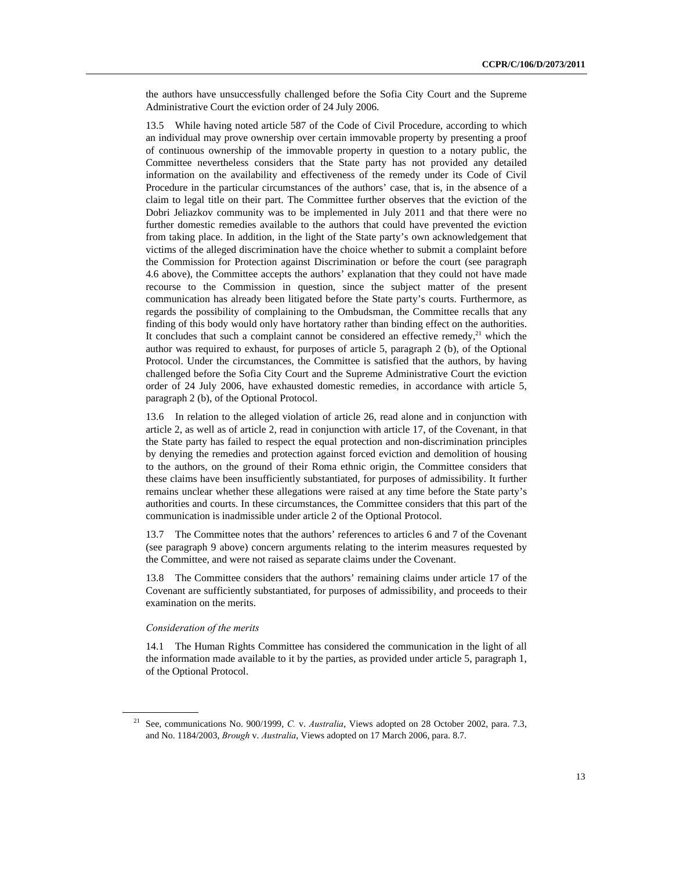the authors have unsuccessfully challenged before the Sofia City Court and the Supreme Administrative Court the eviction order of 24 July 2006.

13.5 While having noted article 587 of the Code of Civil Procedure, according to which an individual may prove ownership over certain immovable property by presenting a proof of continuous ownership of the immovable property in question to a notary public, the Committee nevertheless considers that the State party has not provided any detailed information on the availability and effectiveness of the remedy under its Code of Civil Procedure in the particular circumstances of the authors' case, that is, in the absence of a claim to legal title on their part. The Committee further observes that the eviction of the Dobri Jeliazkov community was to be implemented in July 2011 and that there were no further domestic remedies available to the authors that could have prevented the eviction from taking place. In addition, in the light of the State party's own acknowledgement that victims of the alleged discrimination have the choice whether to submit a complaint before the Commission for Protection against Discrimination or before the court (see paragraph 4.6 above), the Committee accepts the authors' explanation that they could not have made recourse to the Commission in question, since the subject matter of the present communication has already been litigated before the State party's courts. Furthermore, as regards the possibility of complaining to the Ombudsman, the Committee recalls that any finding of this body would only have hortatory rather than binding effect on the authorities. It concludes that such a complaint cannot be considered an effective remedy, $21$  which the author was required to exhaust, for purposes of article 5, paragraph 2 (b), of the Optional Protocol. Under the circumstances, the Committee is satisfied that the authors, by having challenged before the Sofia City Court and the Supreme Administrative Court the eviction order of 24 July 2006, have exhausted domestic remedies, in accordance with article 5, paragraph 2 (b), of the Optional Protocol.

13.6 In relation to the alleged violation of article 26, read alone and in conjunction with article 2, as well as of article 2, read in conjunction with article 17, of the Covenant, in that the State party has failed to respect the equal protection and non-discrimination principles by denying the remedies and protection against forced eviction and demolition of housing to the authors, on the ground of their Roma ethnic origin, the Committee considers that these claims have been insufficiently substantiated, for purposes of admissibility. It further remains unclear whether these allegations were raised at any time before the State party's authorities and courts. In these circumstances, the Committee considers that this part of the communication is inadmissible under article 2 of the Optional Protocol.

13.7 The Committee notes that the authors' references to articles 6 and 7 of the Covenant (see paragraph 9 above) concern arguments relating to the interim measures requested by the Committee, and were not raised as separate claims under the Covenant.

13.8 The Committee considers that the authors' remaining claims under article 17 of the Covenant are sufficiently substantiated, for purposes of admissibility, and proceeds to their examination on the merits.

#### *Consideration of the merits*

 $\overline{a}$ 

14.1 The Human Rights Committee has considered the communication in the light of all the information made available to it by the parties, as provided under article 5, paragraph 1, of the Optional Protocol.

<sup>21</sup> See, communications No. 900/1999, *C.* v. *Australia*, Views adopted on 28 October 2002, para. 7.3, and No. 1184/2003, *Brough* v. *Australia*, Views adopted on 17 March 2006, para. 8.7.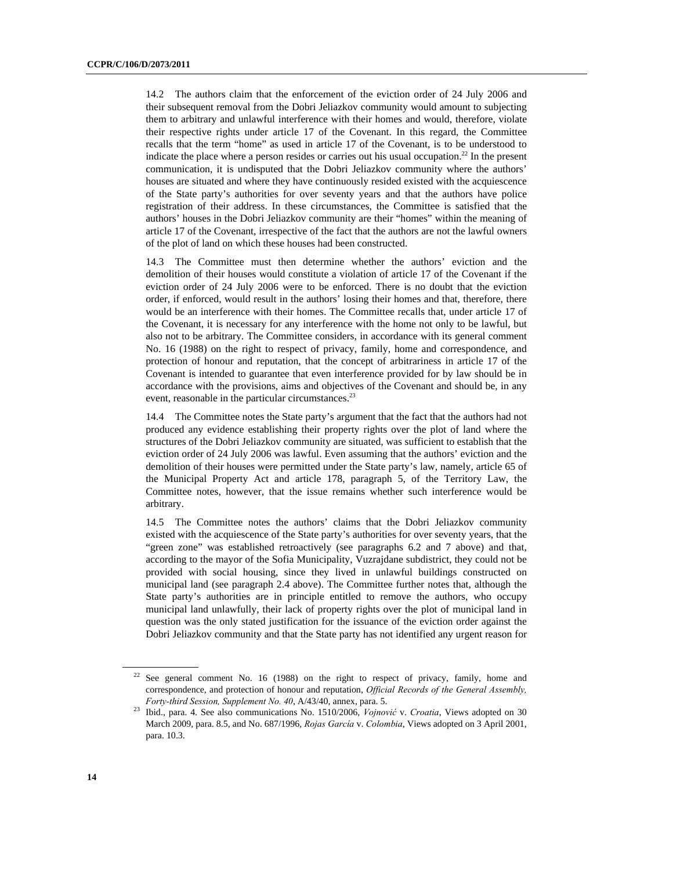14.2 The authors claim that the enforcement of the eviction order of 24 July 2006 and their subsequent removal from the Dobri Jeliazkov community would amount to subjecting them to arbitrary and unlawful interference with their homes and would, therefore, violate their respective rights under article 17 of the Covenant. In this regard, the Committee recalls that the term "home" as used in article 17 of the Covenant, is to be understood to indicate the place where a person resides or carries out his usual occupation.<sup>22</sup> In the present communication, it is undisputed that the Dobri Jeliazkov community where the authors' houses are situated and where they have continuously resided existed with the acquiescence of the State party's authorities for over seventy years and that the authors have police registration of their address. In these circumstances, the Committee is satisfied that the authors' houses in the Dobri Jeliazkov community are their "homes" within the meaning of article 17 of the Covenant, irrespective of the fact that the authors are not the lawful owners of the plot of land on which these houses had been constructed.

14.3 The Committee must then determine whether the authors' eviction and the demolition of their houses would constitute a violation of article 17 of the Covenant if the eviction order of 24 July 2006 were to be enforced. There is no doubt that the eviction order, if enforced, would result in the authors' losing their homes and that, therefore, there would be an interference with their homes. The Committee recalls that, under article 17 of the Covenant, it is necessary for any interference with the home not only to be lawful, but also not to be arbitrary. The Committee considers, in accordance with its general comment No. 16 (1988) on the right to respect of privacy, family, home and correspondence, and protection of honour and reputation, that the concept of arbitrariness in article 17 of the Covenant is intended to guarantee that even interference provided for by law should be in accordance with the provisions, aims and objectives of the Covenant and should be, in any event, reasonable in the particular circumstances.<sup>23</sup>

14.4 The Committee notes the State party's argument that the fact that the authors had not produced any evidence establishing their property rights over the plot of land where the structures of the Dobri Jeliazkov community are situated, was sufficient to establish that the eviction order of 24 July 2006 was lawful. Even assuming that the authors' eviction and the demolition of their houses were permitted under the State party's law, namely, article 65 of the Municipal Property Act and article 178, paragraph 5, of the Territory Law, the Committee notes, however, that the issue remains whether such interference would be arbitrary.

14.5 The Committee notes the authors' claims that the Dobri Jeliazkov community existed with the acquiescence of the State party's authorities for over seventy years, that the "green zone" was established retroactively (see paragraphs 6.2 and 7 above) and that, according to the mayor of the Sofia Municipality, Vuzrajdane subdistrict, they could not be provided with social housing, since they lived in unlawful buildings constructed on municipal land (see paragraph 2.4 above). The Committee further notes that, although the State party's authorities are in principle entitled to remove the authors, who occupy municipal land unlawfully, their lack of property rights over the plot of municipal land in question was the only stated justification for the issuance of the eviction order against the Dobri Jeliazkov community and that the State party has not identified any urgent reason for

<sup>&</sup>lt;sup>22</sup> See general comment No. 16 (1988) on the right to respect of privacy, family, home and correspondence, and protection of honour and reputation, *Official Records of the General Assembly,* 

*Forty-third Session, Supplement No. 40*, A/43/40, annex, para. 5. 23 Ibid., para. 4. See also communications No. 1510/2006, *Vojnović* v. *Croatia*, Views adopted on 30 March 2009, para. 8.5, and No. 687/1996, *Rojas García* v. *Colombia*, Views adopted on 3 April 2001, para. 10.3.